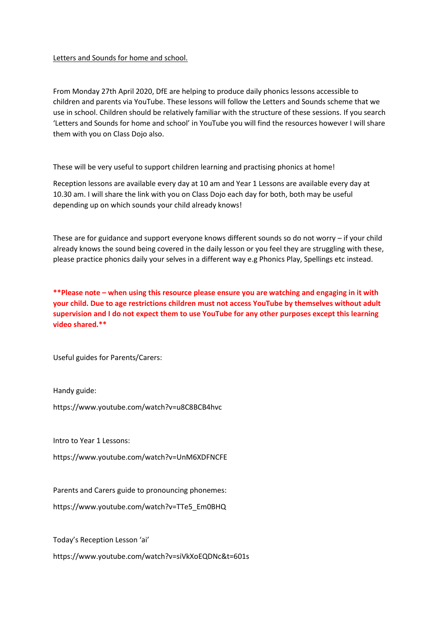## Letters and Sounds for home and school.

From Monday 27th April 2020, DfE are helping to produce daily phonics lessons accessible to children and parents via YouTube. These lessons will follow the Letters and Sounds scheme that we use in school. Children should be relatively familiar with the structure of these sessions. If you search 'Letters and Sounds for home and school' in YouTube you will find the resources however I will share them with you on Class Dojo also.

These will be very useful to support children learning and practising phonics at home!

Reception lessons are available every day at 10 am and Year 1 Lessons are available every day at 10.30 am. I will share the link with you on Class Dojo each day for both, both may be useful depending up on which sounds your child already knows!

These are for guidance and support everyone knows different sounds so do not worry – if your child already knows the sound being covered in the daily lesson or you feel they are struggling with these, please practice phonics daily your selves in a different way e.g Phonics Play, Spellings etc instead.

**\*\*Please note – when using this resource please ensure you are watching and engaging in it with your child. Due to age restrictions children must not access YouTube by themselves without adult supervision and I do not expect them to use YouTube for any other purposes except this learning video shared.\*\***

Useful guides for Parents/Carers:

Handy guide:

https://www.youtube.com/watch?v=u8C8BCB4hvc

Intro to Year 1 Lessons:

https://www.youtube.com/watch?v=UnM6XDFNCFE

Parents and Carers guide to pronouncing phonemes:

https://www.youtube.com/watch?v=TTe5\_Em0BHQ

Today's Reception Lesson 'ai'

https://www.youtube.com/watch?v=siVkXoEQDNc&t=601s